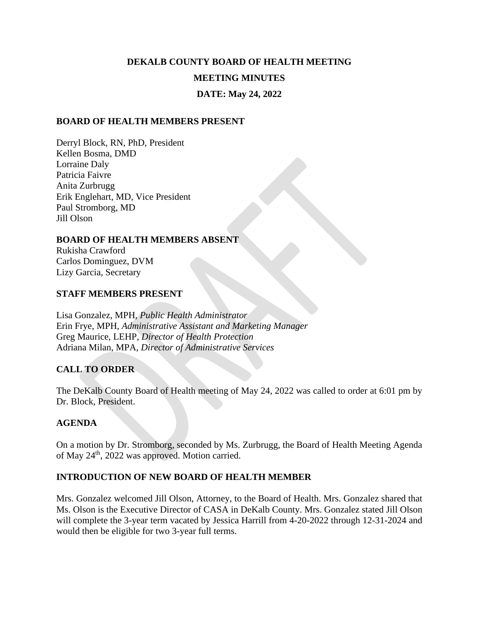## **DEKALB COUNTY BOARD OF HEALTH MEETING MEETING MINUTES**

# **DATE: May 24, 2022**

## **BOARD OF HEALTH MEMBERS PRESENT**

Derryl Block, RN, PhD, President Kellen Bosma, DMD Lorraine Daly Patricia Faivre Anita Zurbrugg Erik Englehart, MD, Vice President Paul Stromborg, MD Jill Olson

## **BOARD OF HEALTH MEMBERS ABSENT**

Rukisha Crawford Carlos Dominguez, DVM Lizy Garcia, Secretary

#### **STAFF MEMBERS PRESENT**

Lisa Gonzalez, MPH, *Public Health Administrator* Erin Frye, MPH, *Administrative Assistant and Marketing Manager* Greg Maurice, LEHP, *Director of Health Protection* Adriana Milan, MPA, *Director of Administrative Services*

## **CALL TO ORDER**

The DeKalb County Board of Health meeting of May 24, 2022 was called to order at 6:01 pm by Dr. Block, President.

## **AGENDA**

On a motion by Dr. Stromborg, seconded by Ms. Zurbrugg, the Board of Health Meeting Agenda of May 24<sup>th</sup>, 2022 was approved. Motion carried.

## **INTRODUCTION OF NEW BOARD OF HEALTH MEMBER**

Mrs. Gonzalez welcomed Jill Olson, Attorney, to the Board of Health. Mrs. Gonzalez shared that Ms. Olson is the Executive Director of CASA in DeKalb County. Mrs. Gonzalez stated Jill Olson will complete the 3-year term vacated by Jessica Harrill from 4-20-2022 through 12-31-2024 and would then be eligible for two 3-year full terms.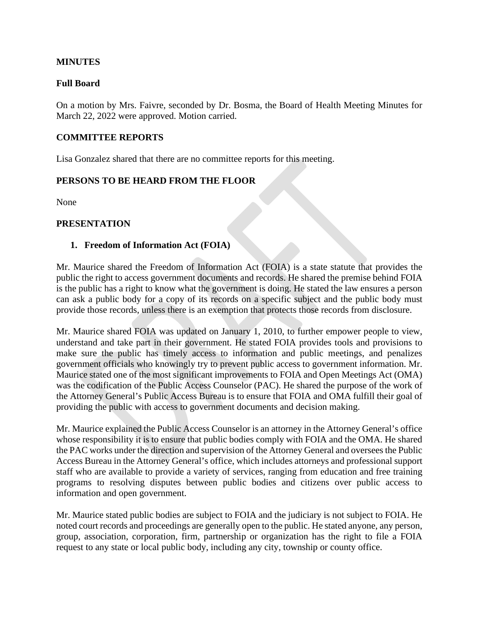## **MINUTES**

#### **Full Board**

On a motion by Mrs. Faivre, seconded by Dr. Bosma, the Board of Health Meeting Minutes for March 22, 2022 were approved. Motion carried.

#### **COMMITTEE REPORTS**

Lisa Gonzalez shared that there are no committee reports for this meeting.

#### **PERSONS TO BE HEARD FROM THE FLOOR**

None

#### **PRESENTATION**

#### **1. Freedom of Information Act (FOIA)**

Mr. Maurice shared the Freedom of Information Act (FOIA) is a state statute that provides the public the right to access government documents and records. He shared the premise behind FOIA is the public has a right to know what the government is doing. He stated the law ensures a person can ask a public body for a copy of its records on a specific subject and the public body must provide those records, unless there is an exemption that protects those records from disclosure.

Mr. Maurice shared FOIA was updated on January 1, 2010, to further empower people to view, understand and take part in their government. He stated FOIA provides tools and provisions to make sure the public has timely access to information and public meetings, and penalizes government officials who knowingly try to prevent public access to government information. Mr. Maurice stated one of the most significant improvements to FOIA and Open Meetings Act (OMA) was the codification of the Public Access Counselor (PAC). He shared the purpose of the work of the Attorney General's Public Access Bureau is to ensure that FOIA and OMA fulfill their goal of providing the public with access to government documents and decision making.

Mr. Maurice explained the Public Access Counselor is an attorney in the Attorney General's office whose responsibility it is to ensure that public bodies comply with FOIA and the OMA. He shared the PAC works under the direction and supervision of the Attorney General and oversees the Public Access Bureau in the Attorney General's office, which includes attorneys and professional support staff who are available to provide a variety of services, ranging from education and free training programs to resolving disputes between public bodies and citizens over public access to information and open government.

Mr. Maurice stated public bodies are subject to FOIA and the judiciary is not subject to FOIA. He noted court records and proceedings are generally open to the public. He stated anyone, any person, group, association, corporation, firm, partnership or organization has the right to file a FOIA request to any state or local public body, including any city, township or county office.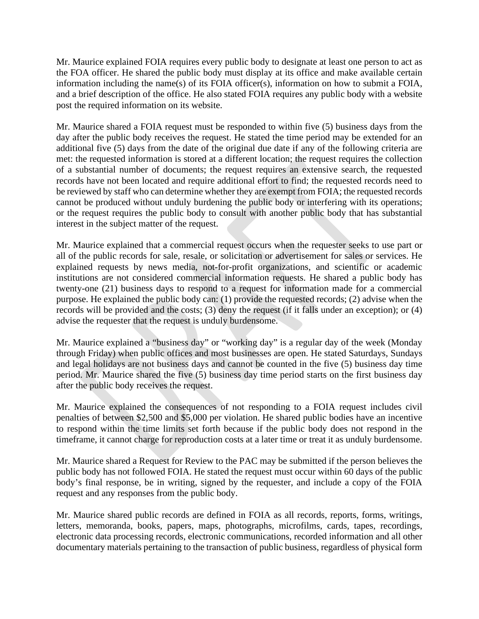Mr. Maurice explained FOIA requires every public body to designate at least one person to act as the FOA officer. He shared the public body must display at its office and make available certain information including the name(s) of its FOIA officer(s), information on how to submit a FOIA, and a brief description of the office. He also stated FOIA requires any public body with a website post the required information on its website.

Mr. Maurice shared a FOIA request must be responded to within five (5) business days from the day after the public body receives the request. He stated the time period may be extended for an additional five (5) days from the date of the original due date if any of the following criteria are met: the requested information is stored at a different location; the request requires the collection of a substantial number of documents; the request requires an extensive search, the requested records have not been located and require additional effort to find; the requested records need to be reviewed by staff who can determine whether they are exempt from FOIA; the requested records cannot be produced without unduly burdening the public body or interfering with its operations; or the request requires the public body to consult with another public body that has substantial interest in the subject matter of the request.

Mr. Maurice explained that a commercial request occurs when the requester seeks to use part or all of the public records for sale, resale, or solicitation or advertisement for sales or services. He explained requests by news media, not-for-profit organizations, and scientific or academic institutions are not considered commercial information requests. He shared a public body has twenty-one (21) business days to respond to a request for information made for a commercial purpose. He explained the public body can: (1) provide the requested records; (2) advise when the records will be provided and the costs; (3) deny the request (if it falls under an exception); or (4) advise the requester that the request is unduly burdensome.

Mr. Maurice explained a "business day" or "working day" is a regular day of the week (Monday through Friday) when public offices and most businesses are open. He stated Saturdays, Sundays and legal holidays are not business days and cannot be counted in the five (5) business day time period. Mr. Maurice shared the five (5) business day time period starts on the first business day after the public body receives the request.

Mr. Maurice explained the consequences of not responding to a FOIA request includes civil penalties of between \$2,500 and \$5,000 per violation. He shared public bodies have an incentive to respond within the time limits set forth because if the public body does not respond in the timeframe, it cannot charge for reproduction costs at a later time or treat it as unduly burdensome.

Mr. Maurice shared a Request for Review to the PAC may be submitted if the person believes the public body has not followed FOIA. He stated the request must occur within 60 days of the public body's final response, be in writing, signed by the requester, and include a copy of the FOIA request and any responses from the public body.

Mr. Maurice shared public records are defined in FOIA as all records, reports, forms, writings, letters, memoranda, books, papers, maps, photographs, microfilms, cards, tapes, recordings, electronic data processing records, electronic communications, recorded information and all other documentary materials pertaining to the transaction of public business, regardless of physical form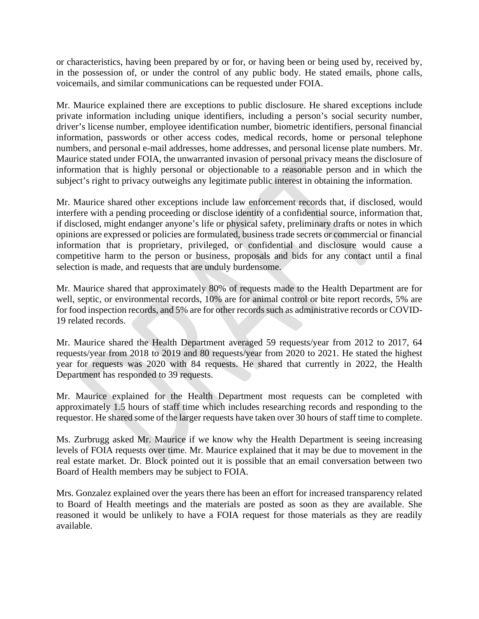or characteristics, having been prepared by or for, or having been or being used by, received by, in the possession of, or under the control of any public body. He stated emails, phone calls, voicemails, and similar communications can be requested under FOIA.

Mr. Maurice explained there are exceptions to public disclosure. He shared exceptions include private information including unique identifiers, including a person's social security number, driver's license number, employee identification number, biometric identifiers, personal financial information, passwords or other access codes, medical records, home or personal telephone numbers, and personal e-mail addresses, home addresses, and personal license plate numbers. Mr. Maurice stated under FOIA, the unwarranted invasion of personal privacy means the disclosure of information that is highly personal or objectionable to a reasonable person and in which the subject's right to privacy outweighs any legitimate public interest in obtaining the information.

Mr. Maurice shared other exceptions include law enforcement records that, if disclosed, would interfere with a pending proceeding or disclose identity of a confidential source, information that, if disclosed, might endanger anyone's life or physical safety, preliminary drafts or notes in which opinions are expressed or policies are formulated, business trade secrets or commercial or financial information that is proprietary, privileged, or confidential and disclosure would cause a competitive harm to the person or business, proposals and bids for any contact until a final selection is made, and requests that are unduly burdensome.

Mr. Maurice shared that approximately 80% of requests made to the Health Department are for well, septic, or environmental records, 10% are for animal control or bite report records, 5% are for food inspection records, and 5% are for other records such as administrative records or COVID-19 related records.

Mr. Maurice shared the Health Department averaged 59 requests/year from 2012 to 2017, 64 requests/year from 2018 to 2019 and 80 requests/year from 2020 to 2021. He stated the highest year for requests was 2020 with 84 requests. He shared that currently in 2022, the Health Department has responded to 39 requests.

Mr. Maurice explained for the Health Department most requests can be completed with approximately 1.5 hours of staff time which includes researching records and responding to the requestor. He shared some of the larger requests have taken over 30 hours of staff time to complete.

Ms. Zurbrugg asked Mr. Maurice if we know why the Health Department is seeing increasing levels of FOIA requests over time. Mr. Maurice explained that it may be due to movement in the real estate market. Dr. Block pointed out it is possible that an email conversation between two Board of Health members may be subject to FOIA.

Mrs. Gonzalez explained over the years there has been an effort for increased transparency related to Board of Health meetings and the materials are posted as soon as they are available. She reasoned it would be unlikely to have a FOIA request for those materials as they are readily available.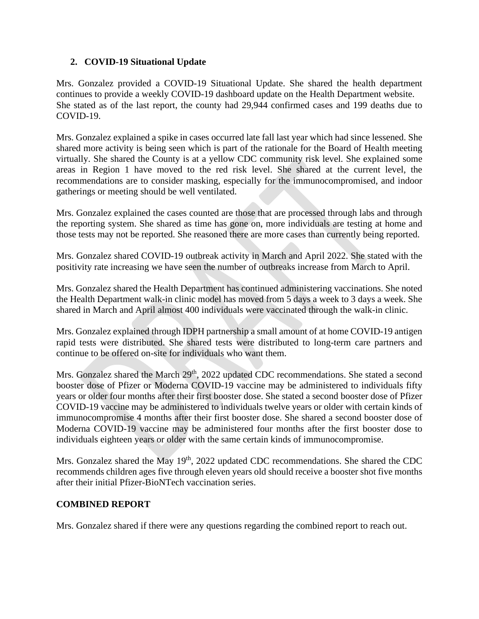## **2. COVID-19 Situational Update**

Mrs. Gonzalez provided a COVID-19 Situational Update. She shared the health department continues to provide a weekly COVID-19 dashboard update on the Health Department website. She stated as of the last report, the county had 29,944 confirmed cases and 199 deaths due to COVID-19.

Mrs. Gonzalez explained a spike in cases occurred late fall last year which had since lessened. She shared more activity is being seen which is part of the rationale for the Board of Health meeting virtually. She shared the County is at a yellow CDC community risk level. She explained some areas in Region 1 have moved to the red risk level. She shared at the current level, the recommendations are to consider masking, especially for the immunocompromised, and indoor gatherings or meeting should be well ventilated.

Mrs. Gonzalez explained the cases counted are those that are processed through labs and through the reporting system. She shared as time has gone on, more individuals are testing at home and those tests may not be reported. She reasoned there are more cases than currently being reported.

Mrs. Gonzalez shared COVID-19 outbreak activity in March and April 2022. She stated with the positivity rate increasing we have seen the number of outbreaks increase from March to April.

Mrs. Gonzalez shared the Health Department has continued administering vaccinations. She noted the Health Department walk-in clinic model has moved from 5 days a week to 3 days a week. She shared in March and April almost 400 individuals were vaccinated through the walk-in clinic.

Mrs. Gonzalez explained through IDPH partnership a small amount of at home COVID-19 antigen rapid tests were distributed. She shared tests were distributed to long-term care partners and continue to be offered on-site for individuals who want them.

Mrs. Gonzalez shared the March 29<sup>th</sup>, 2022 updated CDC recommendations. She stated a second booster dose of Pfizer or Moderna COVID-19 vaccine may be administered to individuals fifty years or older four months after their first booster dose. She stated a second booster dose of Pfizer COVID-19 vaccine may be administered to individuals twelve years or older with certain kinds of immunocompromise 4 months after their first booster dose. She shared a second booster dose of Moderna COVID-19 vaccine may be administered four months after the first booster dose to individuals eighteen years or older with the same certain kinds of immunocompromise.

Mrs. Gonzalez shared the May 19<sup>th</sup>, 2022 updated CDC recommendations. She shared the CDC recommends children ages five through eleven years old should receive a booster shot five months after their initial Pfizer-BioNTech vaccination series.

## **COMBINED REPORT**

Mrs. Gonzalez shared if there were any questions regarding the combined report to reach out.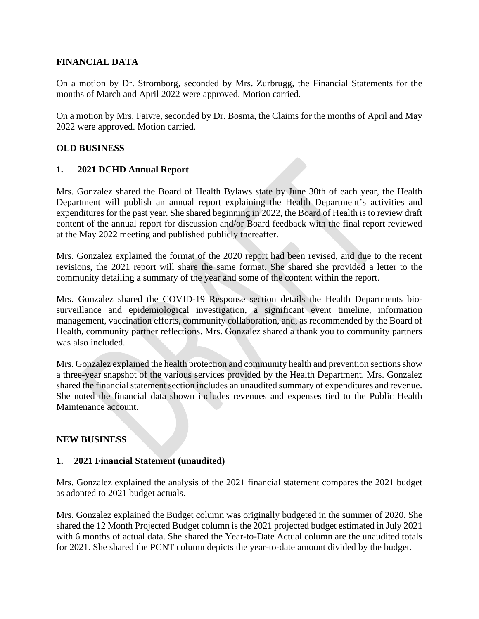#### **FINANCIAL DATA**

On a motion by Dr. Stromborg, seconded by Mrs. Zurbrugg, the Financial Statements for the months of March and April 2022 were approved. Motion carried.

On a motion by Mrs. Faivre, seconded by Dr. Bosma, the Claims for the months of April and May 2022 were approved. Motion carried.

#### **OLD BUSINESS**

#### **1. 2021 DCHD Annual Report**

Mrs. Gonzalez shared the Board of Health Bylaws state by June 30th of each year, the Health Department will publish an annual report explaining the Health Department's activities and expenditures for the past year. She shared beginning in 2022, the Board of Health is to review draft content of the annual report for discussion and/or Board feedback with the final report reviewed at the May 2022 meeting and published publicly thereafter.

Mrs. Gonzalez explained the format of the 2020 report had been revised, and due to the recent revisions, the 2021 report will share the same format. She shared she provided a letter to the community detailing a summary of the year and some of the content within the report.

Mrs. Gonzalez shared the COVID-19 Response section details the Health Departments biosurveillance and epidemiological investigation, a significant event timeline, information management, vaccination efforts, community collaboration, and, as recommended by the Board of Health, community partner reflections. Mrs. Gonzalez shared a thank you to community partners was also included.

Mrs. Gonzalez explained the health protection and community health and prevention sections show a three-year snapshot of the various services provided by the Health Department. Mrs. Gonzalez shared the financial statement section includes an unaudited summary of expenditures and revenue. She noted the financial data shown includes revenues and expenses tied to the Public Health Maintenance account.

#### **NEW BUSINESS**

#### **1. 2021 Financial Statement (unaudited)**

Mrs. Gonzalez explained the analysis of the 2021 financial statement compares the 2021 budget as adopted to 2021 budget actuals.

Mrs. Gonzalez explained the Budget column was originally budgeted in the summer of 2020. She shared the 12 Month Projected Budget column is the 2021 projected budget estimated in July 2021 with 6 months of actual data. She shared the Year-to-Date Actual column are the unaudited totals for 2021. She shared the PCNT column depicts the year-to-date amount divided by the budget.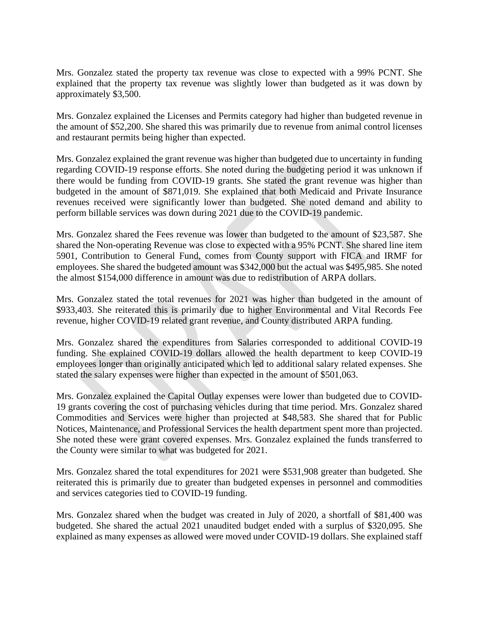Mrs. Gonzalez stated the property tax revenue was close to expected with a 99% PCNT. She explained that the property tax revenue was slightly lower than budgeted as it was down by approximately \$3,500.

Mrs. Gonzalez explained the Licenses and Permits category had higher than budgeted revenue in the amount of \$52,200. She shared this was primarily due to revenue from animal control licenses and restaurant permits being higher than expected.

Mrs. Gonzalez explained the grant revenue was higher than budgeted due to uncertainty in funding regarding COVID-19 response efforts. She noted during the budgeting period it was unknown if there would be funding from COVID-19 grants. She stated the grant revenue was higher than budgeted in the amount of \$871,019. She explained that both Medicaid and Private Insurance revenues received were significantly lower than budgeted. She noted demand and ability to perform billable services was down during 2021 due to the COVID-19 pandemic.

Mrs. Gonzalez shared the Fees revenue was lower than budgeted to the amount of \$23,587. She shared the Non-operating Revenue was close to expected with a 95% PCNT. She shared line item 5901, Contribution to General Fund, comes from County support with FICA and IRMF for employees. She shared the budgeted amount was \$342,000 but the actual was \$495,985. She noted the almost \$154,000 difference in amount was due to redistribution of ARPA dollars.

Mrs. Gonzalez stated the total revenues for 2021 was higher than budgeted in the amount of \$933,403. She reiterated this is primarily due to higher Environmental and Vital Records Fee revenue, higher COVID-19 related grant revenue, and County distributed ARPA funding.

Mrs. Gonzalez shared the expenditures from Salaries corresponded to additional COVID-19 funding. She explained COVID-19 dollars allowed the health department to keep COVID-19 employees longer than originally anticipated which led to additional salary related expenses. She stated the salary expenses were higher than expected in the amount of \$501,063.

Mrs. Gonzalez explained the Capital Outlay expenses were lower than budgeted due to COVID-19 grants covering the cost of purchasing vehicles during that time period. Mrs. Gonzalez shared Commodities and Services were higher than projected at \$48,583. She shared that for Public Notices, Maintenance, and Professional Services the health department spent more than projected. She noted these were grant covered expenses. Mrs. Gonzalez explained the funds transferred to the County were similar to what was budgeted for 2021.

Mrs. Gonzalez shared the total expenditures for 2021 were \$531,908 greater than budgeted. She reiterated this is primarily due to greater than budgeted expenses in personnel and commodities and services categories tied to COVID-19 funding.

Mrs. Gonzalez shared when the budget was created in July of 2020, a shortfall of \$81,400 was budgeted. She shared the actual 2021 unaudited budget ended with a surplus of \$320,095. She explained as many expenses as allowed were moved under COVID-19 dollars. She explained staff